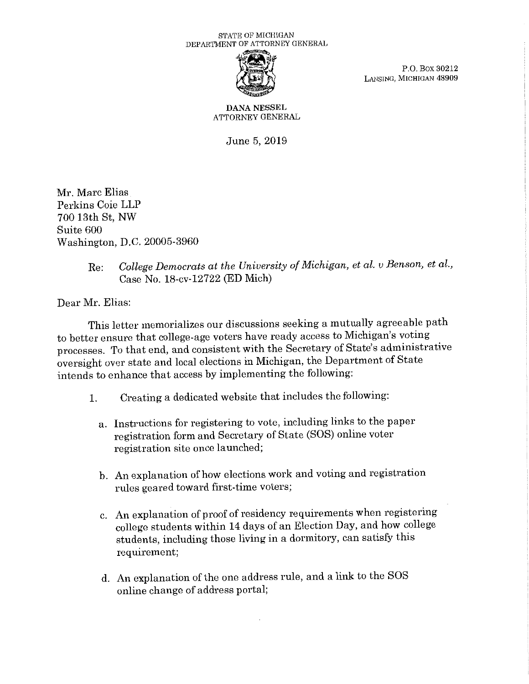## STATE OF MICHIGAN DEPARTMENT OF ATTORNEY GENERAL



P.O. Box 30212 \* P.O. Box 30212<br>LANSING, MICHIGAN 48909

**DANA** NESSEL ATTORNEY GENERAL

June 5, 2019

Mr. Marc Elias Perkins Coie LLP 700 13th St, NW Suite 600 Washington, D.C. 20005-3960

## Re: *College Democrats at the University of Michigan, et al. v Benson, et al.,* Case No. 18-cv-12722 (ED Mich)

Dear Mr. Elias:

This letter memorializes our discussions seeking a mutually agreeable path to better ensure that college-age voters have ready access to Michigan's voting processes. To that end, and consistent with the Secretary of State's administrative oversight over state and local elections in Michigan, the Department of State intends to enhance that access by implementing the following:

- 1. Creating a dedicated website that includes the following:
	- a. Instructions for registering to vote, including links to the paper registration form and Secretary of State (SOS) online voter registration site once launched;
	- b. An explanation of how elections work and voting and registration rules geared toward first-time voters;
	- c. An explanation of proof of residency requirements when registering college students within 14 days of an Election Day, and how college students, including those living in a dormitory, can satisfy this requirement;
	- d. An explanation of the one address rule, and a link to the SOS online change of address portal;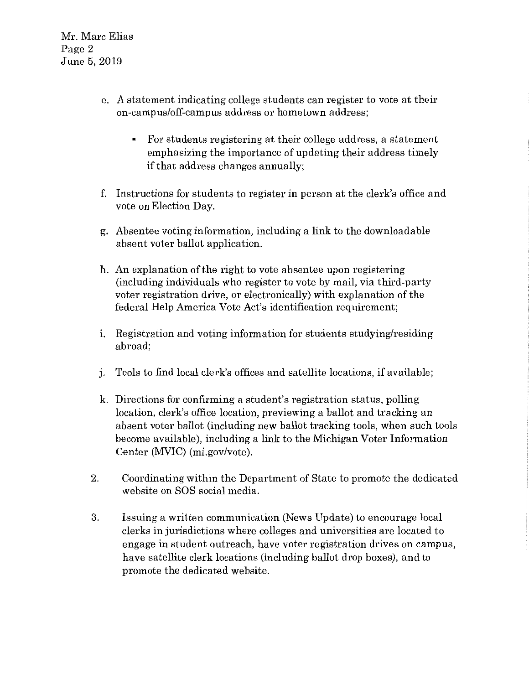Mr. Marc Elias Page 2 June 5, 2019

- e. A statement indicating college students can register to vote at their on-campus/off-campus address or hometown address;
	- For students registering at their college address, a statement emphasizing the importance of updating their address timely if that address changes annually;
- f. Instructions for students to register in person at the clerk's office and vote on Election Day.
- g. Absentee voting information, including a link to the downloadable absent voter ballot application.
- h. An explanation of the right to vote absentee upon registering (including individuals who register to vote by mail, via third-party voter registration drive, or electronically) with explanation of the federal Help America Vote Act's identification requirement;
- 1. Registration and voting information for students studying/residing abroad;
- J. Tools to find local clerk's offices and satellite locations, if available;
- k. Directions for confirming a student's registration status, polling location, clerk's office location, previewing a ballot and tracking an absent voter ballot (including new ballot tracking tools, when such tools become available), including a link to the Michigan Voter Information Center (MVIC) (mi.gov/vote).
- 2. Coordinating within the Department of State to promote the dedicated website on SOS social media.
- 3. Issuing a written communication (News Update) to encourage local clerks in jurisdictions where colleges and universities are located to engage in student outreach, have voter registration drives on campus, have satellite clerk locations (including ballot drop boxes), and to promote the dedicated website.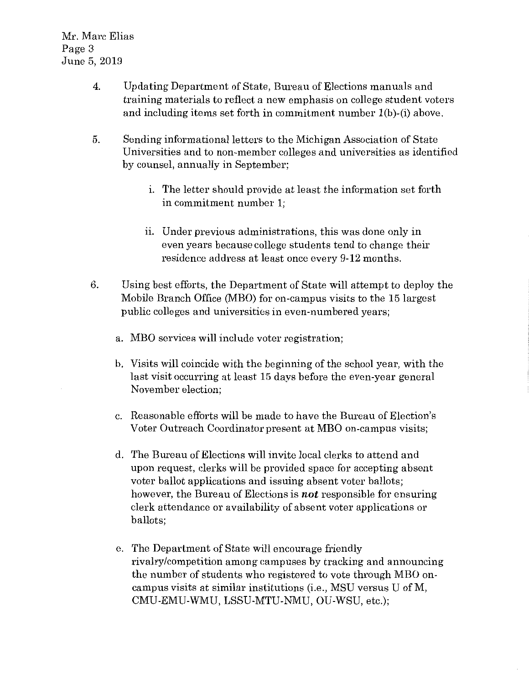- 4. Updating Department of State, Bureau of Elections manuals and training materials to reflect a new emphasis on college student voters and including items set forth in commitment number l(b)-(i) above.
- 5. Sending informational letters to the Michigan Association of State Universities and to non-member colleges and universities as identified by counsel, annually in September;
	- 1. The letter should provide at least the information set forth in commitment number l;
	- ii. Under previous administrations, this was done only in even years because college students tend to change their residence address at least once every 9-12 months.
- 6. Using best efforts, the Department of State will attempt to deploy the Mobile Branch Office (MBO) for on-campus visits to the 15 largest public colleges and universities in even-numbered years;
	- a. MBO services will include voter registration;
	- b. Visits will coincide with the beginning of the school year, with the last visit occurring at least 15 days before the even-year general November election;
	- c. Reasonable efforts will be made to have the Bureau of Election's Voter Outreach Coordinator present at MBO on-campus visits;
	- d. The Bureau of Elections will invite local clerks to attend and upon request, clerks will be provided space for accepting absent voter ballot applications and issuing absent voter ballots; however, the Bureau of Elections is *not* responsible for ensuring clerk attendance or availability of absent voter applications or ballots;
	- e. The Department of State will encourage friendly rivalry/competition among campuses by tracking and announcing the number of students who registered to vote through MBO oncampus visits at similar institutions (i.e., MSU versus U ofM, CMU-EMU-WMU, LSSU-MTU-NMU, OU-WSU, etc.);